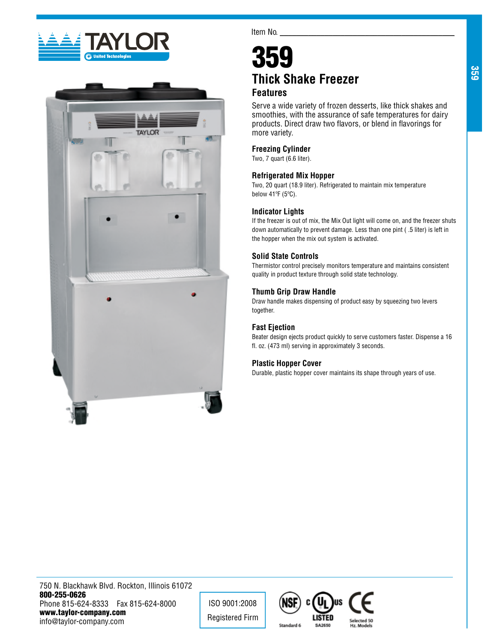



Item No.

# 359 **Thick Shake Freezer Features**

Serve a wide variety of frozen desserts, like thick shakes and smoothies, with the assurance of safe temperatures for dairy products. Direct draw two flavors, or blend in flavorings for more variety.

# **Freezing Cylinder**

Two, 7 quart (6.6 liter).

## **Refrigerated Mix Hopper**

Two, 20 quart (18.9 liter). Refrigerated to maintain mix temperature below 41ºF (5ºC).

## **Indicator Lights**

If the freezer is out of mix, the Mix Out light will come on, and the freezer shuts down automatically to prevent damage. Less than one pint ( .5 liter) is left in the hopper when the mix out system is activated.

# **Solid State Controls**

Thermistor control precisely monitors temperature and maintains consistent quality in product texture through solid state technology.

## **Thumb Grip Draw Handle**

Draw handle makes dispensing of product easy by squeezing two levers together.

## **Fast Ejection**

Beater design ejects product quickly to serve customers faster. Dispense a 16 fl. oz. (473 ml) serving in approximately 3 seconds.

## **Plastic Hopper Cover**

Durable, plastic hopper cover maintains its shape through years of use.

359

750 N. Blackhawk Blvd. Rockton, Illinois 61072 800-255-0626 Phone 815-624-8333 Fax 815-624-8000 www.taylor-company.com info@taylor-company.com

ISO 9001:2008 Registered Firm